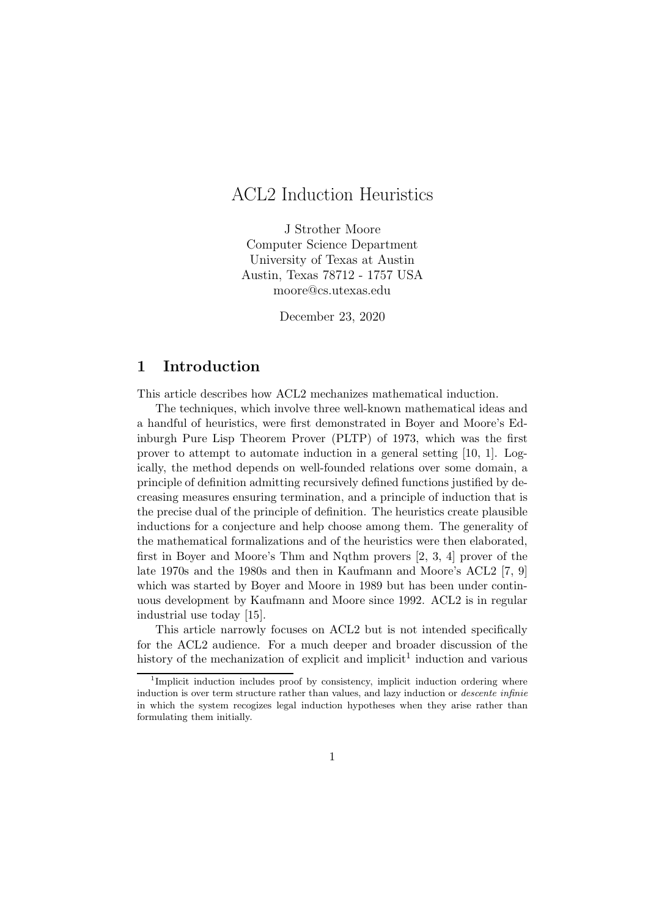# ACL2 Induction Heuristics

J Strother Moore Computer Science Department University of Texas at Austin Austin, Texas 78712 - 1757 USA moore@cs.utexas.edu

December 23, 2020

### 1 Introduction

This article describes how ACL2 mechanizes mathematical induction.

The techniques, which involve three well-known mathematical ideas and a handful of heuristics, were first demonstrated in Boyer and Moore's Edinburgh Pure Lisp Theorem Prover (PLTP) of 1973, which was the first prover to attempt to automate induction in a general setting [10, 1]. Logically, the method depends on well-founded relations over some domain, a principle of definition admitting recursively defined functions justified by decreasing measures ensuring termination, and a principle of induction that is the precise dual of the principle of definition. The heuristics create plausible inductions for a conjecture and help choose among them. The generality of the mathematical formalizations and of the heuristics were then elaborated, first in Boyer and Moore's Thm and Nqthm provers [2, 3, 4] prover of the late 1970s and the 1980s and then in Kaufmann and Moore's ACL2 [7, 9] which was started by Boyer and Moore in 1989 but has been under continuous development by Kaufmann and Moore since 1992. ACL2 is in regular industrial use today [15].

This article narrowly focuses on ACL2 but is not intended specifically for the ACL2 audience. For a much deeper and broader discussion of the history of the mechanization of explicit and implicit<sup>1</sup> induction and various

<sup>&</sup>lt;sup>1</sup>Implicit induction includes proof by consistency, implicit induction ordering where induction is over term structure rather than values, and lazy induction or *descente infinie* in which the system recogizes legal induction hypotheses when they arise rather than formulating them initially.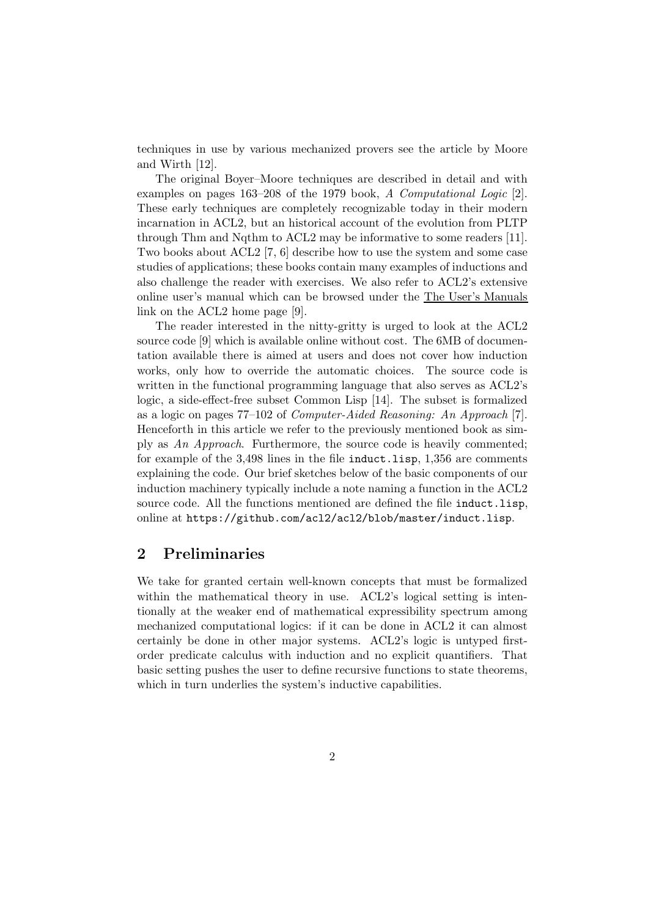techniques in use by various mechanized provers see the article by Moore and Wirth [12].

The original Boyer–Moore techniques are described in detail and with examples on pages 163–208 of the 1979 book, A Computational Logic [2]. These early techniques are completely recognizable today in their modern incarnation in ACL2, but an historical account of the evolution from PLTP through Thm and Nqthm to ACL2 may be informative to some readers [11]. Two books about ACL2 [7, 6] describe how to use the system and some case studies of applications; these books contain many examples of inductions and also challenge the reader with exercises. We also refer to ACL2's extensive online user's manual which can be browsed under the The User's Manuals link on the ACL2 home page [9].

The reader interested in the nitty-gritty is urged to look at the ACL2 source code [9] which is available online without cost. The 6MB of documentation available there is aimed at users and does not cover how induction works, only how to override the automatic choices. The source code is written in the functional programming language that also serves as ACL2's logic, a side-effect-free subset Common Lisp [14]. The subset is formalized as a logic on pages  $77-102$  of *Computer-Aided Reasoning: An Approach* [7]. Henceforth in this article we refer to the previously mentioned book as simply as An Approach. Furthermore, the source code is heavily commented; for example of the 3,498 lines in the file induct.lisp, 1,356 are comments explaining the code. Our brief sketches below of the basic components of our induction machinery typically include a note naming a function in the ACL2 source code. All the functions mentioned are defined the file induct.lisp, online at https://github.com/acl2/acl2/blob/master/induct.lisp.

# 2 Preliminaries

We take for granted certain well-known concepts that must be formalized within the mathematical theory in use. ACL2's logical setting is intentionally at the weaker end of mathematical expressibility spectrum among mechanized computational logics: if it can be done in ACL2 it can almost certainly be done in other major systems. ACL2's logic is untyped firstorder predicate calculus with induction and no explicit quantifiers. That basic setting pushes the user to define recursive functions to state theorems, which in turn underlies the system's inductive capabilities.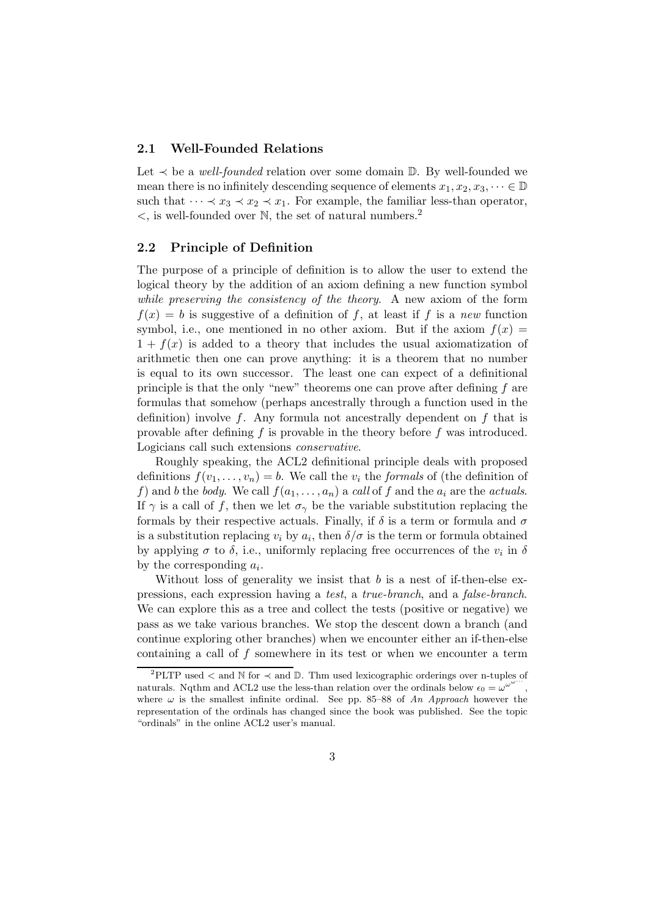#### 2.1 Well-Founded Relations

Let  $\prec$  be a *well-founded* relation over some domain  $\mathbb{D}$ . By well-founded we mean there is no infinitely descending sequence of elements  $x_1, x_2, x_3, \dots \in \mathbb{D}$ such that  $\cdots \prec x_3 \prec x_2 \prec x_1$ . For example, the familiar less-than operator,  $\lt$ , is well-founded over N, the set of natural numbers.<sup>2</sup>

#### 2.2 Principle of Definition

The purpose of a principle of definition is to allow the user to extend the logical theory by the addition of an axiom defining a new function symbol while preserving the consistency of the theory. A new axiom of the form  $f(x) = b$  is suggestive of a definition of f, at least if f is a new function symbol, i.e., one mentioned in no other axiom. But if the axiom  $f(x) =$  $1 + f(x)$  is added to a theory that includes the usual axiomatization of arithmetic then one can prove anything: it is a theorem that no number is equal to its own successor. The least one can expect of a definitional principle is that the only "new" theorems one can prove after defining  $f$  are formulas that somehow (perhaps ancestrally through a function used in the definition) involve f. Any formula not ancestrally dependent on f that is provable after defining  $f$  is provable in the theory before  $f$  was introduced. Logicians call such extensions conservative.

Roughly speaking, the ACL2 definitional principle deals with proposed definitions  $f(v_1, \ldots, v_n) = b$ . We call the  $v_i$  the *formals* of (the definition of f) and b the body. We call  $f(a_1, \ldots, a_n)$  a call of f and the  $a_i$  are the actuals. If  $\gamma$  is a call of f, then we let  $\sigma_{\gamma}$  be the variable substitution replacing the formals by their respective actuals. Finally, if  $\delta$  is a term or formula and  $\sigma$ is a substitution replacing  $v_i$  by  $a_i$ , then  $\delta/\sigma$  is the term or formula obtained by applying  $\sigma$  to  $\delta$ , i.e., uniformly replacing free occurrences of the  $v_i$  in  $\delta$ by the corresponding  $a_i$ .

Without loss of generality we insist that  $b$  is a nest of if-then-else expressions, each expression having a test, a true-branch, and a false-branch. We can explore this as a tree and collect the tests (positive or negative) we pass as we take various branches. We stop the descent down a branch (and continue exploring other branches) when we encounter either an if-then-else containing a call of  $f$  somewhere in its test or when we encounter a term

<sup>&</sup>lt;sup>2</sup>PLTP used < and  $\mathbb N$  for  $\prec$  and  $\mathbb D$ . Thm used lexicographic orderings over n-tuples of naturals. Nqthm and ACL2 use the less-than relation over the ordinals below  $\epsilon_0 = \omega^{\omega}$ , where  $\omega$  is the smallest infinite ordinal. See pp. 85–88 of An Approach however the representation of the ordinals has changed since the book was published. See the topic "ordinals" in the online ACL2 user's manual.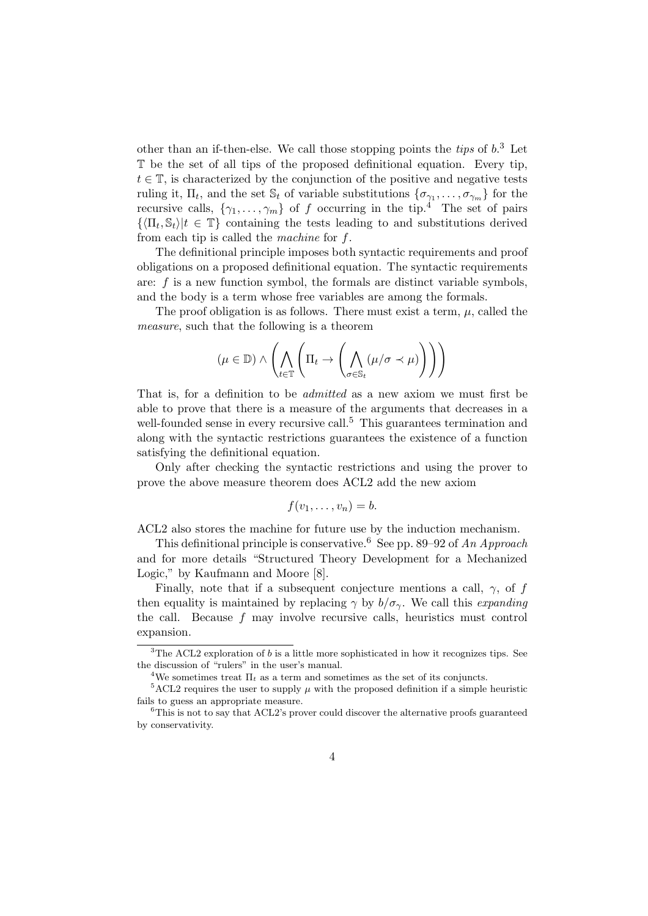other than an if-then-else. We call those stopping points the *tips* of  $b$ <sup>3</sup>. Let T be the set of all tips of the proposed definitional equation. Every tip,  $t \in \mathbb{T}$ , is characterized by the conjunction of the positive and negative tests ruling it,  $\Pi_t$ , and the set  $\mathbb{S}_t$  of variable substitutions  $\{\sigma_{\gamma_1}, \ldots, \sigma_{\gamma_m}\}$  for the recursive calls,  $\{\gamma_1,\ldots,\gamma_m\}$  of f occurring in the tip.<sup>4</sup> The set of pairs  $\{\langle \Pi_t, \mathbb{S}_t \rangle | t \in \mathbb{T}\}\$  containing the tests leading to and substitutions derived from each tip is called the machine for f.

The definitional principle imposes both syntactic requirements and proof obligations on a proposed definitional equation. The syntactic requirements are: f is a new function symbol, the formals are distinct variable symbols, and the body is a term whose free variables are among the formals.

The proof obligation is as follows. There must exist a term,  $\mu$ , called the measure, such that the following is a theorem

$$
(\mu \in \mathbb{D}) \wedge \left( \bigwedge_{t \in \mathbb{T}} \left( \Pi_t \to \left( \bigwedge_{\sigma \in \mathbb{S}_t} (\mu/\sigma \prec \mu) \right) \right) \right)
$$

That is, for a definition to be admitted as a new axiom we must first be able to prove that there is a measure of the arguments that decreases in a well-founded sense in every recursive call.<sup>5</sup> This guarantees termination and along with the syntactic restrictions guarantees the existence of a function satisfying the definitional equation.

Only after checking the syntactic restrictions and using the prover to prove the above measure theorem does ACL2 add the new axiom

$$
f(v_1,\ldots,v_n)=b.
$$

ACL2 also stores the machine for future use by the induction mechanism.

This definitional principle is conservative.<sup>6</sup> See pp. 89–92 of An Approach and for more details "Structured Theory Development for a Mechanized Logic," by Kaufmann and Moore [8].

Finally, note that if a subsequent conjecture mentions a call,  $\gamma$ , of f then equality is maintained by replacing  $\gamma$  by  $b/\sigma_{\gamma}$ . We call this *expanding* the call. Because f may involve recursive calls, heuristics must control expansion.

 $3$ The ACL2 exploration of b is a little more sophisticated in how it recognizes tips. See the discussion of "rulers" in the user's manual.

<sup>&</sup>lt;sup>4</sup>We sometimes treat  $\Pi_t$  as a term and sometimes as the set of its conjuncts.

 $5\,\text{ACL2}$  requires the user to supply  $\mu$  with the proposed definition if a simple heuristic fails to guess an appropriate measure.

 ${}^{6}$ This is not to say that ACL2's prover could discover the alternative proofs guaranteed by conservativity.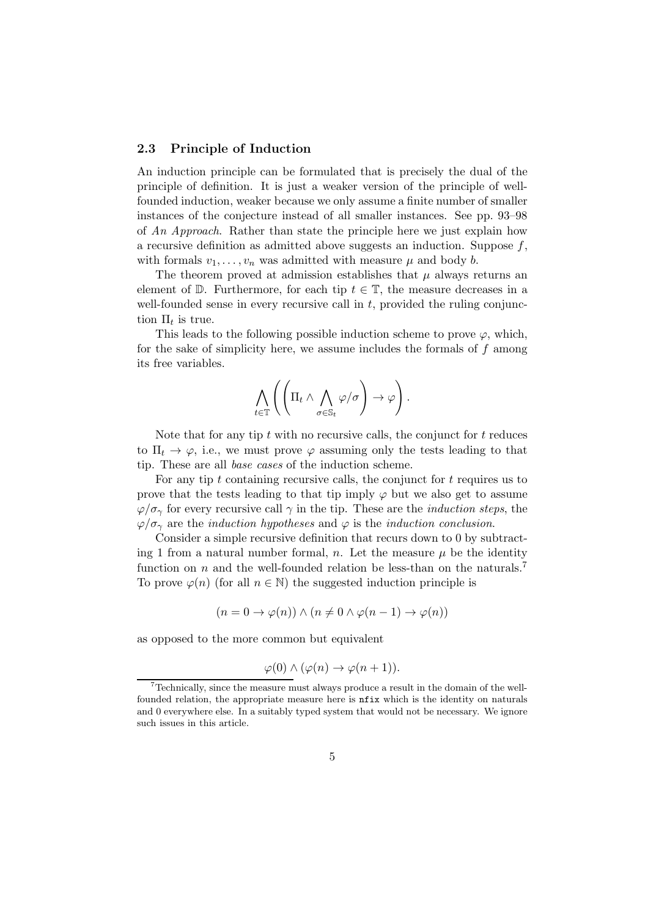#### 2.3 Principle of Induction

An induction principle can be formulated that is precisely the dual of the principle of definition. It is just a weaker version of the principle of wellfounded induction, weaker because we only assume a finite number of smaller instances of the conjecture instead of all smaller instances. See pp. 93–98 of An Approach. Rather than state the principle here we just explain how a recursive definition as admitted above suggests an induction. Suppose  $f$ , with formals  $v_1, \ldots, v_n$  was admitted with measure  $\mu$  and body b.

The theorem proved at admission establishes that  $\mu$  always returns an element of  $\mathbb D$ . Furthermore, for each tip  $t \in \mathbb T$ , the measure decreases in a well-founded sense in every recursive call in  $t$ , provided the ruling conjunction  $\Pi_t$  is true.

This leads to the following possible induction scheme to prove  $\varphi$ , which, for the sake of simplicity here, we assume includes the formals of  $f$  among its free variables.

$$
\bigwedge_{t\in\mathbb{T}}\left(\left(\Pi_t \wedge \bigwedge_{\sigma\in\mathbb{S}_t}\varphi/\sigma\right)\to \varphi\right).
$$

Note that for any tip  $t$  with no recursive calls, the conjunct for  $t$  reduces to  $\Pi_t \to \varphi$ , i.e., we must prove  $\varphi$  assuming only the tests leading to that tip. These are all base cases of the induction scheme.

For any tip  $t$  containing recursive calls, the conjunct for  $t$  requires us to prove that the tests leading to that tip imply  $\varphi$  but we also get to assume  $\varphi/\sigma_{\gamma}$  for every recursive call  $\gamma$  in the tip. These are the *induction steps*, the  $\varphi/\sigma_{\gamma}$  are the *induction hypotheses* and  $\varphi$  is the *induction conclusion*.

Consider a simple recursive definition that recurs down to 0 by subtracting 1 from a natural number formal, n. Let the measure  $\mu$  be the identity function on n and the well-founded relation be less-than on the naturals.<sup>7</sup> To prove  $\varphi(n)$  (for all  $n \in \mathbb{N}$ ) the suggested induction principle is

$$
(n = 0 \to \varphi(n)) \land (n \neq 0 \land \varphi(n - 1) \to \varphi(n))
$$

as opposed to the more common but equivalent

$$
\varphi(0) \land (\varphi(n) \to \varphi(n+1)).
$$

<sup>7</sup>Technically, since the measure must always produce a result in the domain of the wellfounded relation, the appropriate measure here is nfix which is the identity on naturals and 0 everywhere else. In a suitably typed system that would not be necessary. We ignore such issues in this article.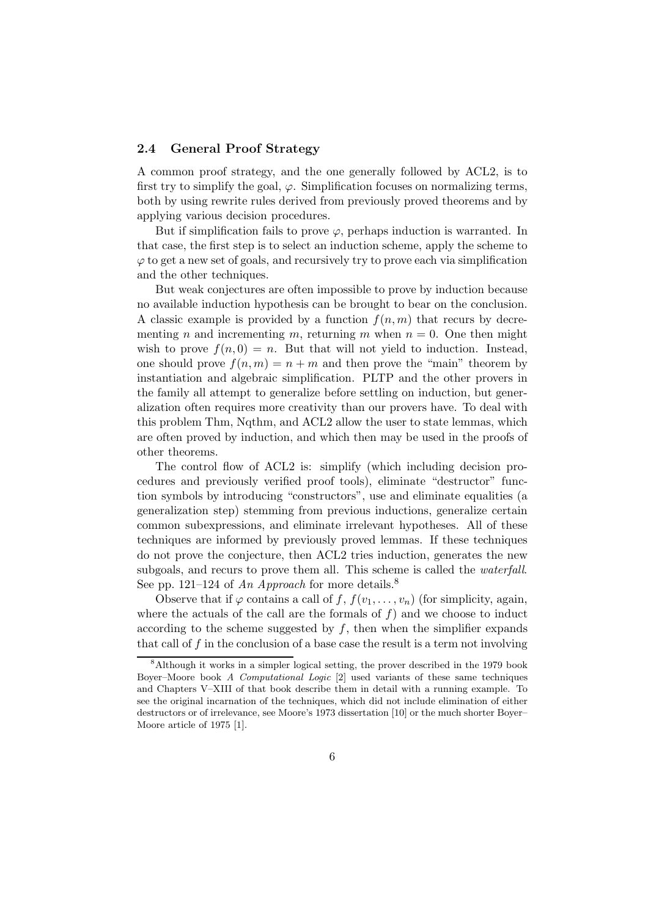#### 2.4 General Proof Strategy

A common proof strategy, and the one generally followed by ACL2, is to first try to simplify the goal,  $\varphi$ . Simplification focuses on normalizing terms, both by using rewrite rules derived from previously proved theorems and by applying various decision procedures.

But if simplification fails to prove  $\varphi$ , perhaps induction is warranted. In that case, the first step is to select an induction scheme, apply the scheme to  $\varphi$  to get a new set of goals, and recursively try to prove each via simplification and the other techniques.

But weak conjectures are often impossible to prove by induction because no available induction hypothesis can be brought to bear on the conclusion. A classic example is provided by a function  $f(n, m)$  that recurs by decrementing n and incrementing m, returning m when  $n = 0$ . One then might wish to prove  $f(n, 0) = n$ . But that will not yield to induction. Instead, one should prove  $f(n, m) = n + m$  and then prove the "main" theorem by instantiation and algebraic simplification. PLTP and the other provers in the family all attempt to generalize before settling on induction, but generalization often requires more creativity than our provers have. To deal with this problem Thm, Nqthm, and ACL2 allow the user to state lemmas, which are often proved by induction, and which then may be used in the proofs of other theorems.

The control flow of ACL2 is: simplify (which including decision procedures and previously verified proof tools), eliminate "destructor" function symbols by introducing "constructors", use and eliminate equalities (a generalization step) stemming from previous inductions, generalize certain common subexpressions, and eliminate irrelevant hypotheses. All of these techniques are informed by previously proved lemmas. If these techniques do not prove the conjecture, then ACL2 tries induction, generates the new subgoals, and recurs to prove them all. This scheme is called the waterfall. See pp. 121–124 of An Approach for more details.<sup>8</sup>

Observe that if  $\varphi$  contains a call of f,  $f(v_1, \ldots, v_n)$  (for simplicity, again, where the actuals of the call are the formals of  $f$ ) and we choose to induct according to the scheme suggested by  $f$ , then when the simplifier expands that call of f in the conclusion of a base case the result is a term not involving

<sup>8</sup>Although it works in a simpler logical setting, the prover described in the 1979 book Boyer–Moore book A Computational Logic [2] used variants of these same techniques and Chapters V–XIII of that book describe them in detail with a running example. To see the original incarnation of the techniques, which did not include elimination of either destructors or of irrelevance, see Moore's 1973 dissertation [10] or the much shorter Boyer– Moore article of 1975 [1].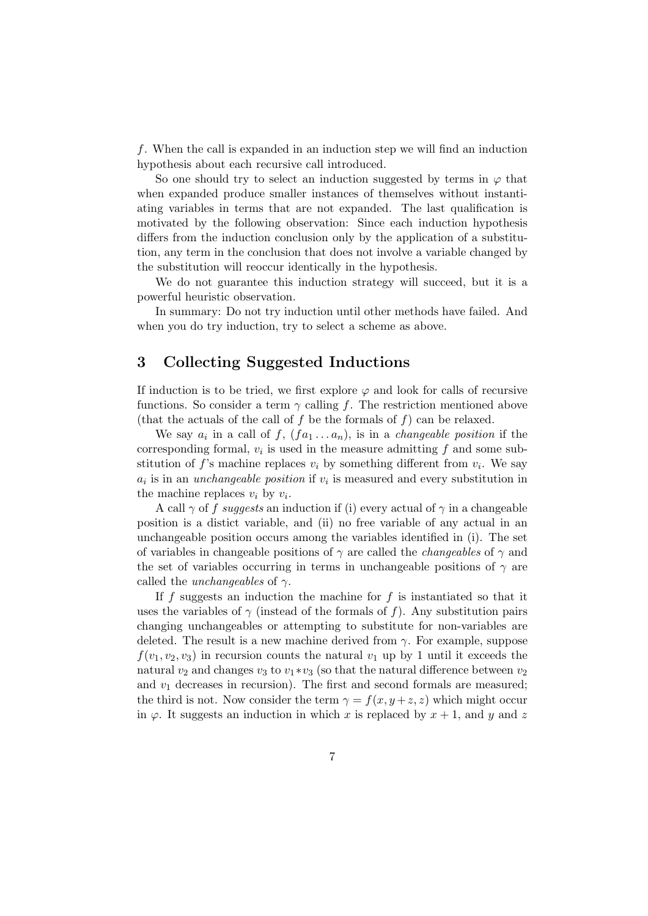f. When the call is expanded in an induction step we will find an induction hypothesis about each recursive call introduced.

So one should try to select an induction suggested by terms in  $\varphi$  that when expanded produce smaller instances of themselves without instantiating variables in terms that are not expanded. The last qualification is motivated by the following observation: Since each induction hypothesis differs from the induction conclusion only by the application of a substitution, any term in the conclusion that does not involve a variable changed by the substitution will reoccur identically in the hypothesis.

We do not guarantee this induction strategy will succeed, but it is a powerful heuristic observation.

In summary: Do not try induction until other methods have failed. And when you do try induction, try to select a scheme as above.

# 3 Collecting Suggested Inductions

If induction is to be tried, we first explore  $\varphi$  and look for calls of recursive functions. So consider a term  $\gamma$  calling f. The restriction mentioned above (that the actuals of the call of f be the formals of f) can be relaxed.

We say  $a_i$  in a call of  $f$ ,  $(f a_1 \ldots a_n)$ , is in a *changeable position* if the corresponding formal,  $v_i$  is used in the measure admitting  $f$  and some substitution of  $f$ 's machine replaces  $v_i$  by something different from  $v_i$ . We say  $a_i$  is in an *unchangeable position* if  $v_i$  is measured and every substitution in the machine replaces  $v_i$  by  $v_i$ .

A call  $\gamma$  of f suggests an induction if (i) every actual of  $\gamma$  in a changeable position is a distict variable, and (ii) no free variable of any actual in an unchangeable position occurs among the variables identified in (i). The set of variables in changeable positions of  $\gamma$  are called the *changeables* of  $\gamma$  and the set of variables occurring in terms in unchangeable positions of  $\gamma$  are called the *unchangeables* of  $\gamma$ .

If f suggests an induction the machine for f is instantiated so that it uses the variables of  $\gamma$  (instead of the formals of f). Any substitution pairs changing unchangeables or attempting to substitute for non-variables are deleted. The result is a new machine derived from  $\gamma$ . For example, suppose  $f(v_1, v_2, v_3)$  in recursion counts the natural  $v_1$  up by 1 until it exceeds the natural  $v_2$  and changes  $v_3$  to  $v_1 * v_3$  (so that the natural difference between  $v_2$ and  $v_1$  decreases in recursion). The first and second formals are measured; the third is not. Now consider the term  $\gamma = f(x, y + z, z)$  which might occur in  $\varphi$ . It suggests an induction in which x is replaced by  $x + 1$ , and y and z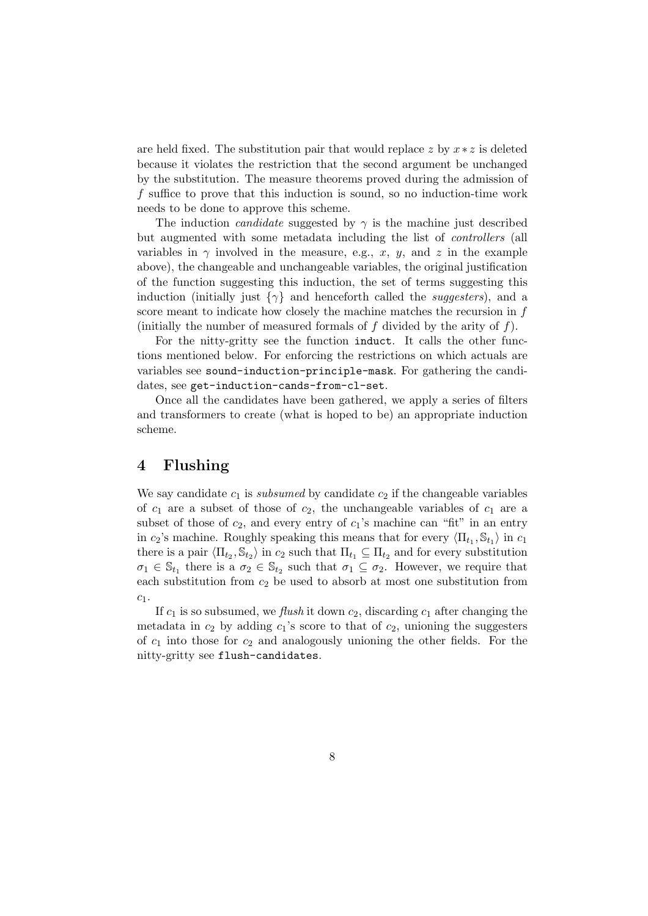are held fixed. The substitution pair that would replace z by  $x * z$  is deleted because it violates the restriction that the second argument be unchanged by the substitution. The measure theorems proved during the admission of f suffice to prove that this induction is sound, so no induction-time work needs to be done to approve this scheme.

The induction *candidate* suggested by  $\gamma$  is the machine just described but augmented with some metadata including the list of controllers (all variables in  $\gamma$  involved in the measure, e.g., x, y, and z in the example above), the changeable and unchangeable variables, the original justification of the function suggesting this induction, the set of terms suggesting this induction (initially just  $\{\gamma\}$  and henceforth called the *suggesters*), and a score meant to indicate how closely the machine matches the recursion in f (initially the number of measured formals of  $f$  divided by the arity of  $f$ ).

For the nitty-gritty see the function induct. It calls the other functions mentioned below. For enforcing the restrictions on which actuals are variables see sound-induction-principle-mask. For gathering the candidates, see get-induction-cands-from-cl-set.

Once all the candidates have been gathered, we apply a series of filters and transformers to create (what is hoped to be) an appropriate induction scheme.

# 4 Flushing

We say candidate  $c_1$  is subsumed by candidate  $c_2$  if the changeable variables of  $c_1$  are a subset of those of  $c_2$ , the unchangeable variables of  $c_1$  are a subset of those of  $c_2$ , and every entry of  $c_1$ 's machine can "fit" in an entry in  $c_2$ 's machine. Roughly speaking this means that for every  $\langle \Pi_{t_1}, \mathbb{S}_{t_1} \rangle$  in  $c_1$ there is a pair  $\langle \Pi_{t_2}, \mathbb{S}_{t_2} \rangle$  in  $c_2$  such that  $\Pi_{t_1} \subseteq \Pi_{t_2}$  and for every substitution  $\sigma_1 \in \mathbb{S}_{t_1}$  there is a  $\sigma_2 \in \mathbb{S}_{t_2}$  such that  $\sigma_1 \subseteq \sigma_2$ . However, we require that each substitution from  $c_2$  be used to absorb at most one substitution from  $c_1$ .

If  $c_1$  is so subsumed, we *flush* it down  $c_2$ , discarding  $c_1$  after changing the metadata in  $c_2$  by adding  $c_1$ 's score to that of  $c_2$ , unioning the suggesters of  $c_1$  into those for  $c_2$  and analogously unioning the other fields. For the nitty-gritty see flush-candidates.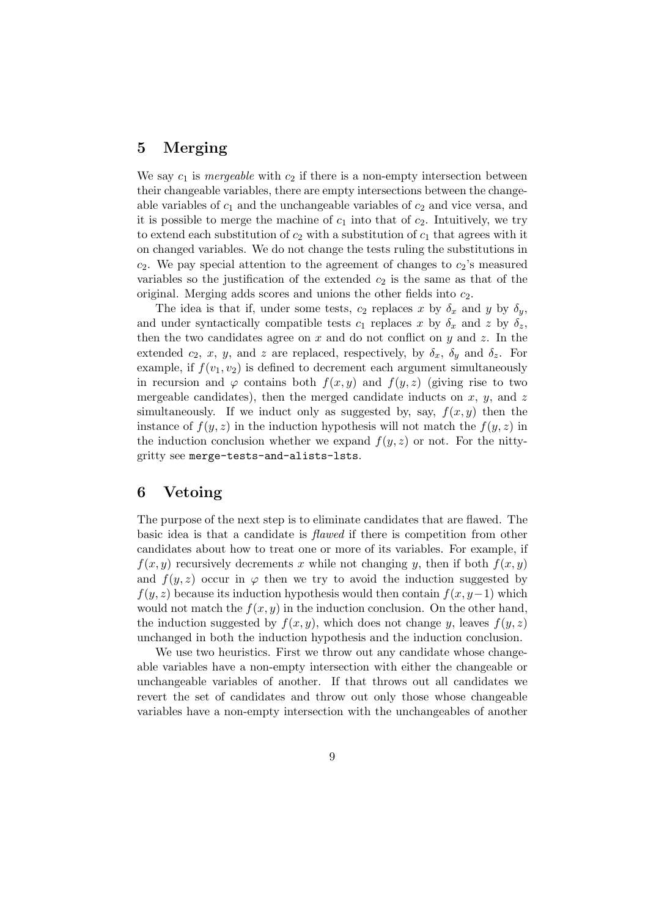# 5 Merging

We say  $c_1$  is *mergeable* with  $c_2$  if there is a non-empty intersection between their changeable variables, there are empty intersections between the changeable variables of  $c_1$  and the unchangeable variables of  $c_2$  and vice versa, and it is possible to merge the machine of  $c_1$  into that of  $c_2$ . Intuitively, we try to extend each substitution of  $c_2$  with a substitution of  $c_1$  that agrees with it on changed variables. We do not change the tests ruling the substitutions in  $c_2$ . We pay special attention to the agreement of changes to  $c_2$ 's measured variables so the justification of the extended  $c_2$  is the same as that of the original. Merging adds scores and unions the other fields into  $c_2$ .

The idea is that if, under some tests,  $c_2$  replaces x by  $\delta_x$  and y by  $\delta_y$ , and under syntactically compatible tests  $c_1$  replaces x by  $\delta_x$  and z by  $\delta_z$ , then the two candidates agree on  $x$  and do not conflict on  $y$  and  $z$ . In the extended  $c_2$ , x, y, and z are replaced, respectively, by  $\delta_x$ ,  $\delta_y$  and  $\delta_z$ . For example, if  $f(v_1, v_2)$  is defined to decrement each argument simultaneously in recursion and  $\varphi$  contains both  $f(x, y)$  and  $f(y, z)$  (giving rise to two mergeable candidates), then the merged candidate inducts on  $x, y$ , and  $z$ simultaneously. If we induct only as suggested by, say,  $f(x, y)$  then the instance of  $f(y, z)$  in the induction hypothesis will not match the  $f(y, z)$  in the induction conclusion whether we expand  $f(y, z)$  or not. For the nittygritty see merge-tests-and-alists-lsts.

### 6 Vetoing

The purpose of the next step is to eliminate candidates that are flawed. The basic idea is that a candidate is flawed if there is competition from other candidates about how to treat one or more of its variables. For example, if  $f(x, y)$  recursively decrements x while not changing y, then if both  $f(x, y)$ and  $f(y, z)$  occur in  $\varphi$  then we try to avoid the induction suggested by  $f(y, z)$  because its induction hypothesis would then contain  $f(x, y-1)$  which would not match the  $f(x, y)$  in the induction conclusion. On the other hand, the induction suggested by  $f(x, y)$ , which does not change y, leaves  $f(y, z)$ unchanged in both the induction hypothesis and the induction conclusion.

We use two heuristics. First we throw out any candidate whose changeable variables have a non-empty intersection with either the changeable or unchangeable variables of another. If that throws out all candidates we revert the set of candidates and throw out only those whose changeable variables have a non-empty intersection with the unchangeables of another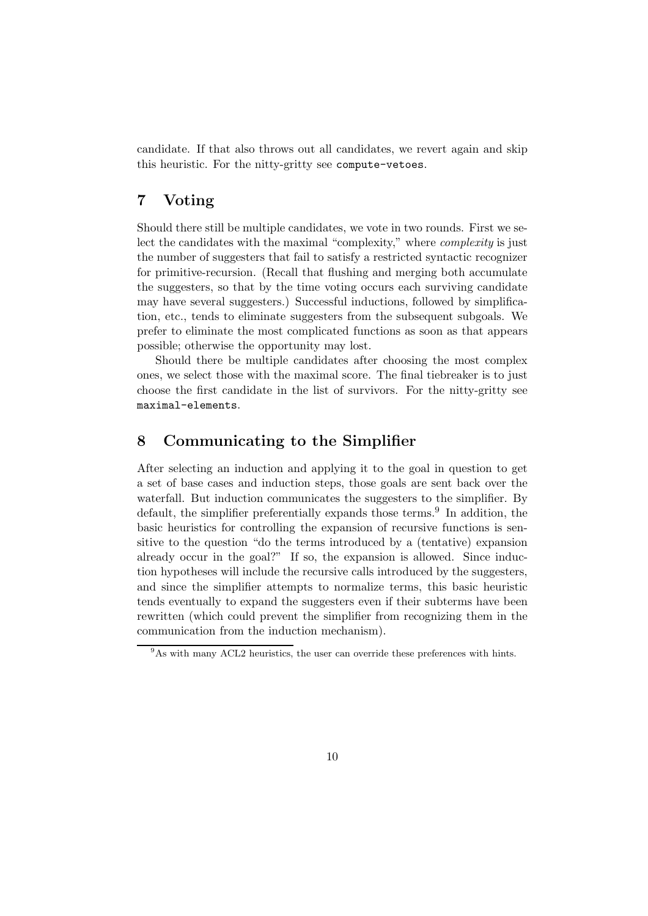candidate. If that also throws out all candidates, we revert again and skip this heuristic. For the nitty-gritty see compute-vetoes.

# 7 Voting

Should there still be multiple candidates, we vote in two rounds. First we select the candidates with the maximal "complexity," where complexity is just the number of suggesters that fail to satisfy a restricted syntactic recognizer for primitive-recursion. (Recall that flushing and merging both accumulate the suggesters, so that by the time voting occurs each surviving candidate may have several suggesters.) Successful inductions, followed by simplification, etc., tends to eliminate suggesters from the subsequent subgoals. We prefer to eliminate the most complicated functions as soon as that appears possible; otherwise the opportunity may lost.

Should there be multiple candidates after choosing the most complex ones, we select those with the maximal score. The final tiebreaker is to just choose the first candidate in the list of survivors. For the nitty-gritty see maximal-elements.

### 8 Communicating to the Simplifier

After selecting an induction and applying it to the goal in question to get a set of base cases and induction steps, those goals are sent back over the waterfall. But induction communicates the suggesters to the simplifier. By default, the simplifier preferentially expands those terms.<sup>9</sup> In addition, the basic heuristics for controlling the expansion of recursive functions is sensitive to the question "do the terms introduced by a (tentative) expansion already occur in the goal?" If so, the expansion is allowed. Since induction hypotheses will include the recursive calls introduced by the suggesters, and since the simplifier attempts to normalize terms, this basic heuristic tends eventually to expand the suggesters even if their subterms have been rewritten (which could prevent the simplifier from recognizing them in the communication from the induction mechanism).

 $9As$  with many ACL2 heuristics, the user can override these preferences with hints.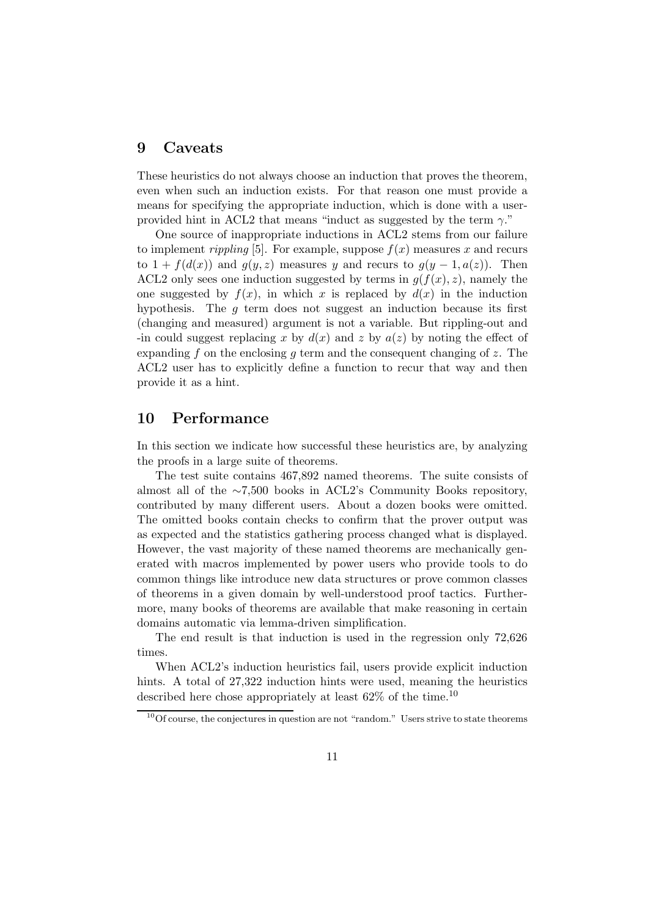### 9 Caveats

These heuristics do not always choose an induction that proves the theorem, even when such an induction exists. For that reason one must provide a means for specifying the appropriate induction, which is done with a userprovided hint in ACL2 that means "induct as suggested by the term  $\gamma$ ."

One source of inappropriate inductions in ACL2 stems from our failure to implement *rippling* [5]. For example, suppose  $f(x)$  measures x and recurs to  $1 + f(d(x))$  and  $g(y, z)$  measures y and recurs to  $g(y - 1, a(z))$ . Then ACL2 only sees one induction suggested by terms in  $g(f(x), z)$ , namely the one suggested by  $f(x)$ , in which x is replaced by  $d(x)$  in the induction hypothesis. The  $q$  term does not suggest an induction because its first (changing and measured) argument is not a variable. But rippling-out and -in could suggest replacing x by  $d(x)$  and z by  $a(z)$  by noting the effect of expanding f on the enclosing q term and the consequent changing of z. The ACL2 user has to explicitly define a function to recur that way and then provide it as a hint.

#### 10 Performance

In this section we indicate how successful these heuristics are, by analyzing the proofs in a large suite of theorems.

The test suite contains 467,892 named theorems. The suite consists of almost all of the ∼7,500 books in ACL2's Community Books repository, contributed by many different users. About a dozen books were omitted. The omitted books contain checks to confirm that the prover output was as expected and the statistics gathering process changed what is displayed. However, the vast majority of these named theorems are mechanically generated with macros implemented by power users who provide tools to do common things like introduce new data structures or prove common classes of theorems in a given domain by well-understood proof tactics. Furthermore, many books of theorems are available that make reasoning in certain domains automatic via lemma-driven simplification.

The end result is that induction is used in the regression only 72,626 times.

When ACL2's induction heuristics fail, users provide explicit induction hints. A total of 27,322 induction hints were used, meaning the heuristics described here chose appropriately at least  $62\%$  of the time.<sup>10</sup>

 $10$ Of course, the conjectures in question are not "random." Users strive to state theorems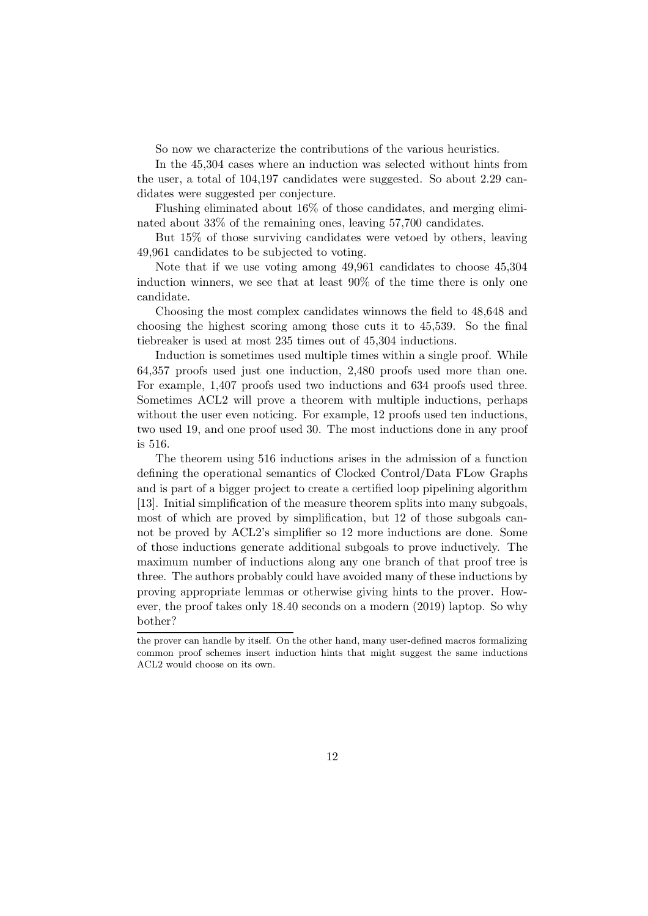So now we characterize the contributions of the various heuristics.

In the 45,304 cases where an induction was selected without hints from the user, a total of 104,197 candidates were suggested. So about 2.29 candidates were suggested per conjecture.

Flushing eliminated about 16% of those candidates, and merging eliminated about 33% of the remaining ones, leaving 57,700 candidates.

But 15% of those surviving candidates were vetoed by others, leaving 49,961 candidates to be subjected to voting.

Note that if we use voting among 49,961 candidates to choose 45,304 induction winners, we see that at least 90% of the time there is only one candidate.

Choosing the most complex candidates winnows the field to 48,648 and choosing the highest scoring among those cuts it to 45,539. So the final tiebreaker is used at most 235 times out of 45,304 inductions.

Induction is sometimes used multiple times within a single proof. While 64,357 proofs used just one induction, 2,480 proofs used more than one. For example, 1,407 proofs used two inductions and 634 proofs used three. Sometimes ACL2 will prove a theorem with multiple inductions, perhaps without the user even noticing. For example, 12 proofs used ten inductions, two used 19, and one proof used 30. The most inductions done in any proof is 516.

The theorem using 516 inductions arises in the admission of a function defining the operational semantics of Clocked Control/Data FLow Graphs and is part of a bigger project to create a certified loop pipelining algorithm [13]. Initial simplification of the measure theorem splits into many subgoals, most of which are proved by simplification, but 12 of those subgoals cannot be proved by ACL2's simplifier so 12 more inductions are done. Some of those inductions generate additional subgoals to prove inductively. The maximum number of inductions along any one branch of that proof tree is three. The authors probably could have avoided many of these inductions by proving appropriate lemmas or otherwise giving hints to the prover. However, the proof takes only 18.40 seconds on a modern (2019) laptop. So why bother?

the prover can handle by itself. On the other hand, many user-defined macros formalizing common proof schemes insert induction hints that might suggest the same inductions ACL2 would choose on its own.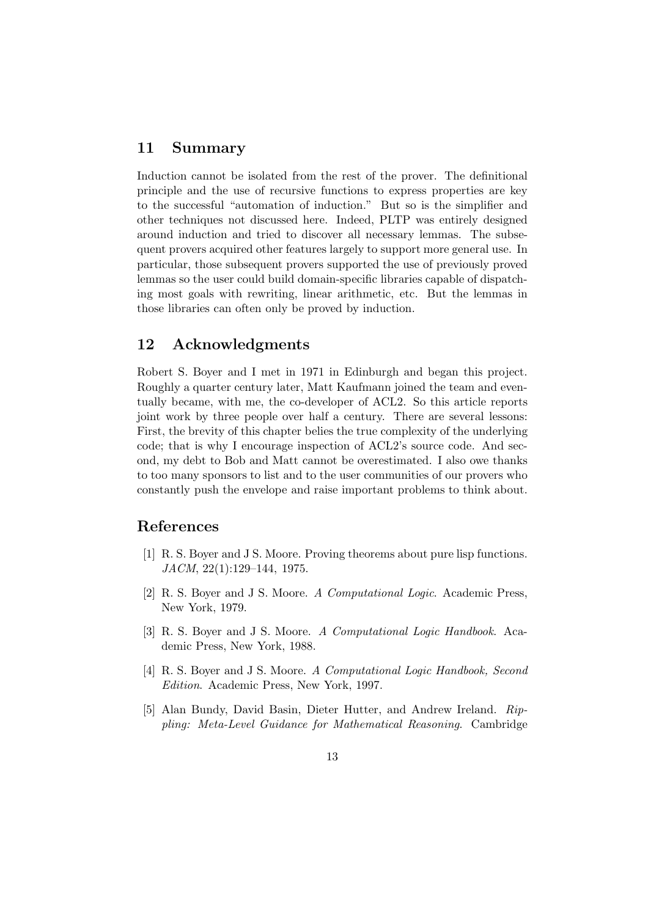# 11 Summary

Induction cannot be isolated from the rest of the prover. The definitional principle and the use of recursive functions to express properties are key to the successful "automation of induction." But so is the simplifier and other techniques not discussed here. Indeed, PLTP was entirely designed around induction and tried to discover all necessary lemmas. The subsequent provers acquired other features largely to support more general use. In particular, those subsequent provers supported the use of previously proved lemmas so the user could build domain-specific libraries capable of dispatching most goals with rewriting, linear arithmetic, etc. But the lemmas in those libraries can often only be proved by induction.

### 12 Acknowledgments

Robert S. Boyer and I met in 1971 in Edinburgh and began this project. Roughly a quarter century later, Matt Kaufmann joined the team and eventually became, with me, the co-developer of ACL2. So this article reports joint work by three people over half a century. There are several lessons: First, the brevity of this chapter belies the true complexity of the underlying code; that is why I encourage inspection of ACL2's source code. And second, my debt to Bob and Matt cannot be overestimated. I also owe thanks to too many sponsors to list and to the user communities of our provers who constantly push the envelope and raise important problems to think about.

### References

- [1] R. S. Boyer and J S. Moore. Proving theorems about pure lisp functions. JACM, 22(1):129–144, 1975.
- [2] R. S. Boyer and J S. Moore. A Computational Logic. Academic Press, New York, 1979.
- [3] R. S. Boyer and J S. Moore. A Computational Logic Handbook. Academic Press, New York, 1988.
- [4] R. S. Boyer and J S. Moore. A Computational Logic Handbook, Second Edition. Academic Press, New York, 1997.
- [5] Alan Bundy, David Basin, Dieter Hutter, and Andrew Ireland. Rippling: Meta-Level Guidance for Mathematical Reasoning. Cambridge